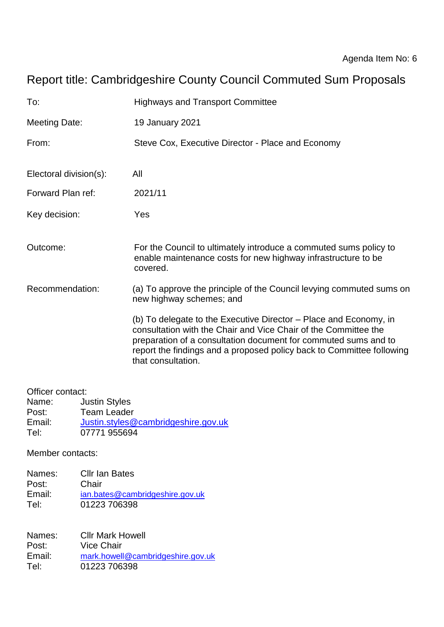# Report title: Cambridgeshire County Council Commuted Sum Proposals

| To:                    | <b>Highways and Transport Committee</b>                                                                                                                                                                                                                                                                |
|------------------------|--------------------------------------------------------------------------------------------------------------------------------------------------------------------------------------------------------------------------------------------------------------------------------------------------------|
| <b>Meeting Date:</b>   | 19 January 2021                                                                                                                                                                                                                                                                                        |
| From:                  | Steve Cox, Executive Director - Place and Economy                                                                                                                                                                                                                                                      |
| Electoral division(s): | All                                                                                                                                                                                                                                                                                                    |
| Forward Plan ref:      | 2021/11                                                                                                                                                                                                                                                                                                |
| Key decision:          | Yes                                                                                                                                                                                                                                                                                                    |
| Outcome:               | For the Council to ultimately introduce a commuted sums policy to<br>enable maintenance costs for new highway infrastructure to be<br>covered.                                                                                                                                                         |
| Recommendation:        | (a) To approve the principle of the Council levying commuted sums on<br>new highway schemes; and                                                                                                                                                                                                       |
|                        | (b) To delegate to the Executive Director – Place and Economy, in<br>consultation with the Chair and Vice Chair of the Committee the<br>preparation of a consultation document for commuted sums and to<br>report the findings and a proposed policy back to Committee following<br>that consultation. |

Officer contact: Name: Justin Styles Post: Team Leader<br>Email: Justin.styles@ Email: [Justin.styles@cambridgeshire.gov.uk](mailto:Justin.styles@cambridgeshire.gov.uk)<br>Tel: 07771 955694 07771 955694

Member contacts:

| Names: | <b>Cllr Ian Bates</b>           |
|--------|---------------------------------|
| Post:  | Chair                           |
| Email: | ian.bates@cambridgeshire.gov.uk |
| Tel:   | 01223 706398                    |

Names: Cllr Mark Howell Post: Vice Chair Email: [mark.howell@cambridgeshire.gov.uk](mailto:mark.howell@cambridgeshire.gov.uk) Tel: 01223 706398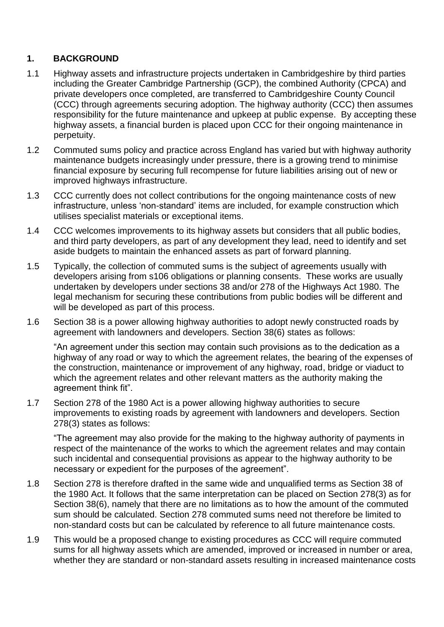#### **1. BACKGROUND**

- 1.1 Highway assets and infrastructure projects undertaken in Cambridgeshire by third parties including the Greater Cambridge Partnership (GCP), the combined Authority (CPCA) and private developers once completed, are transferred to Cambridgeshire County Council (CCC) through agreements securing adoption. The highway authority (CCC) then assumes responsibility for the future maintenance and upkeep at public expense. By accepting these highway assets, a financial burden is placed upon CCC for their ongoing maintenance in perpetuity.
- 1.2 Commuted sums policy and practice across England has varied but with highway authority maintenance budgets increasingly under pressure, there is a growing trend to minimise financial exposure by securing full recompense for future liabilities arising out of new or improved highways infrastructure.
- 1.3 CCC currently does not collect contributions for the ongoing maintenance costs of new infrastructure, unless 'non-standard' items are included, for example construction which utilises specialist materials or exceptional items.
- 1.4 CCC welcomes improvements to its highway assets but considers that all public bodies, and third party developers, as part of any development they lead, need to identify and set aside budgets to maintain the enhanced assets as part of forward planning.
- 1.5 Typically, the collection of commuted sums is the subject of agreements usually with developers arising from s106 obligations or planning consents. These works are usually undertaken by developers under sections 38 and/or 278 of the Highways Act 1980. The legal mechanism for securing these contributions from public bodies will be different and will be developed as part of this process.
- 1.6 Section 38 is a power allowing highway authorities to adopt newly constructed roads by agreement with landowners and developers. Section 38(6) states as follows:

"An agreement under this section may contain such provisions as to the dedication as a highway of any road or way to which the agreement relates, the bearing of the expenses of the construction, maintenance or improvement of any highway, road, bridge or viaduct to which the agreement relates and other relevant matters as the authority making the agreement think fit".

1.7 Section 278 of the 1980 Act is a power allowing highway authorities to secure improvements to existing roads by agreement with landowners and developers. Section 278(3) states as follows:

"The agreement may also provide for the making to the highway authority of payments in respect of the maintenance of the works to which the agreement relates and may contain such incidental and consequential provisions as appear to the highway authority to be necessary or expedient for the purposes of the agreement".

- 1.8 Section 278 is therefore drafted in the same wide and unqualified terms as Section 38 of the 1980 Act. It follows that the same interpretation can be placed on Section 278(3) as for Section 38(6), namely that there are no limitations as to how the amount of the commuted sum should be calculated. Section 278 commuted sums need not therefore be limited to non-standard costs but can be calculated by reference to all future maintenance costs.
- 1.9 This would be a proposed change to existing procedures as CCC will require commuted sums for all highway assets which are amended, improved or increased in number or area, whether they are standard or non-standard assets resulting in increased maintenance costs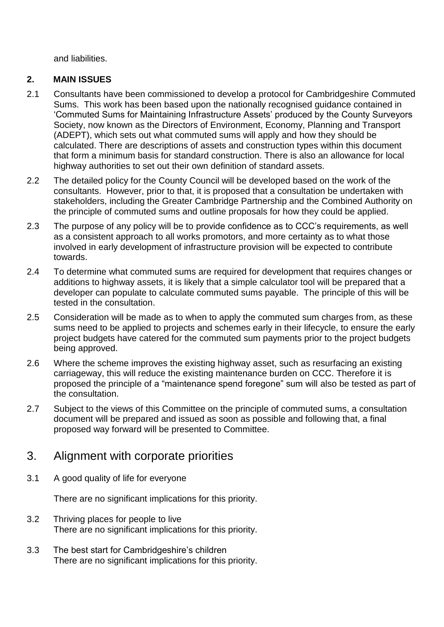and liabilities.

#### **2. MAIN ISSUES**

- 2.1 Consultants have been commissioned to develop a protocol for Cambridgeshire Commuted Sums. This work has been based upon the nationally recognised guidance contained in 'Commuted Sums for Maintaining Infrastructure Assets' produced by the County Surveyors Society, now known as the Directors of Environment, Economy, Planning and Transport (ADEPT), which sets out what commuted sums will apply and how they should be calculated. There are descriptions of assets and construction types within this document that form a minimum basis for standard construction. There is also an allowance for local highway authorities to set out their own definition of standard assets.
- 2.2 The detailed policy for the County Council will be developed based on the work of the consultants. However, prior to that, it is proposed that a consultation be undertaken with stakeholders, including the Greater Cambridge Partnership and the Combined Authority on the principle of commuted sums and outline proposals for how they could be applied.
- 2.3 The purpose of any policy will be to provide confidence as to CCC's requirements, as well as a consistent approach to all works promotors, and more certainty as to what those involved in early development of infrastructure provision will be expected to contribute towards.
- 2.4 To determine what commuted sums are required for development that requires changes or additions to highway assets, it is likely that a simple calculator tool will be prepared that a developer can populate to calculate commuted sums payable. The principle of this will be tested in the consultation.
- 2.5 Consideration will be made as to when to apply the commuted sum charges from, as these sums need to be applied to projects and schemes early in their lifecycle, to ensure the early project budgets have catered for the commuted sum payments prior to the project budgets being approved.
- 2.6 Where the scheme improves the existing highway asset, such as resurfacing an existing carriageway, this will reduce the existing maintenance burden on CCC. Therefore it is proposed the principle of a "maintenance spend foregone" sum will also be tested as part of the consultation.
- 2.7 Subject to the views of this Committee on the principle of commuted sums, a consultation document will be prepared and issued as soon as possible and following that, a final proposed way forward will be presented to Committee.

## 3. Alignment with corporate priorities

3.1 A good quality of life for everyone

There are no significant implications for this priority.

- 3.2 Thriving places for people to live There are no significant implications for this priority.
- 3.3 The best start for Cambridgeshire's children There are no significant implications for this priority.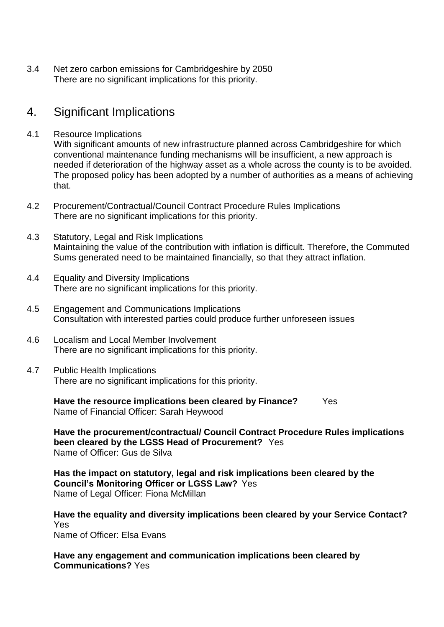3.4 Net zero carbon emissions for Cambridgeshire by 2050 There are no significant implications for this priority.

### 4. Significant Implications

4.1 Resource Implications

With significant amounts of new infrastructure planned across Cambridgeshire for which conventional maintenance funding mechanisms will be insufficient, a new approach is needed if deterioration of the highway asset as a whole across the county is to be avoided. The proposed policy has been adopted by a number of authorities as a means of achieving that.

- 4.2 Procurement/Contractual/Council Contract Procedure Rules Implications There are no significant implications for this priority.
- 4.3 Statutory, Legal and Risk Implications Maintaining the value of the contribution with inflation is difficult. Therefore, the Commuted Sums generated need to be maintained financially, so that they attract inflation.
- 4.4 Equality and Diversity Implications There are no significant implications for this priority.
- 4.5 Engagement and Communications Implications Consultation with interested parties could produce further unforeseen issues
- 4.6 Localism and Local Member Involvement There are no significant implications for this priority.
- 4.7 Public Health Implications There are no significant implications for this priority.

**Have the resource implications been cleared by Finance?** Yes Name of Financial Officer: Sarah Heywood

**Have the procurement/contractual/ Council Contract Procedure Rules implications been cleared by the LGSS Head of Procurement?** Yes Name of Officer: Gus de Silva

**Has the impact on statutory, legal and risk implications been cleared by the Council's Monitoring Officer or LGSS Law?** Yes Name of Legal Officer: Fiona McMillan

**Have the equality and diversity implications been cleared by your Service Contact?** Yes Name of Officer: Elsa Evans

**Have any engagement and communication implications been cleared by Communications?** Yes